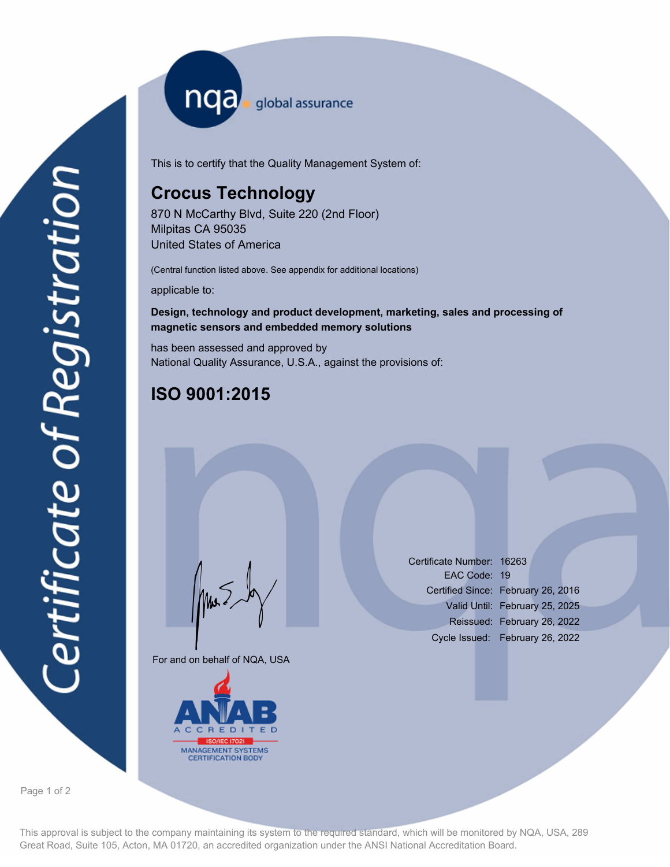nqa <sub>global assurance</sub>

This is to certify that the Quality Management System of:

# **Crocus Technology**

870 N McCarthy Blvd, Suite 220 (2nd Floor) Milpitas CA 95035 United States of America

(Central function listed above. See appendix for additional locations)

applicable to:

## **Design, technology and product development, marketing, sales and processing of magnetic sensors and embedded memory solutions**

has been assessed and approved by National Quality Assurance, U.S.A., against the provisions of:

# **ISO 9001:2015**

For and on behalf of NQA, USA

Mus



Certificate Number: 16263 EAC Code: 19 Certified Since: February 26, 2016 Valid Until: February 25, 2025 Reissued: February 26, 2022 Cycle Issued: February 26, 2022

Page 1 of 2

This approval is subject to the company maintaining its system to the required standard, which will be monitored by NQA, USA, 289 Great Road, Suite 105, Acton, MA 01720, an accredited organization under the ANSI National Accreditation Board.